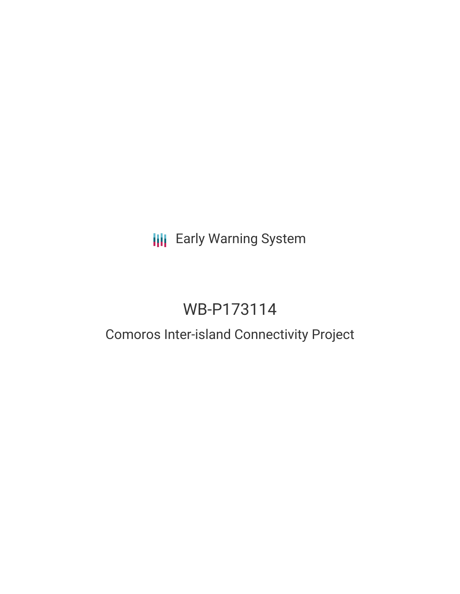# **III** Early Warning System

# WB-P173114

# Comoros Inter-island Connectivity Project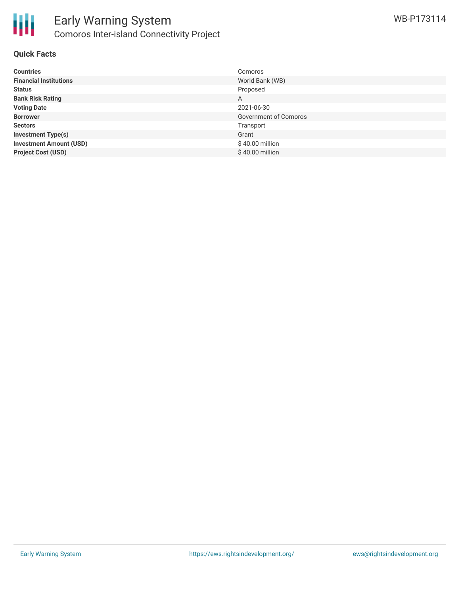

### **Quick Facts**

| <b>Countries</b>               | Comoros               |
|--------------------------------|-----------------------|
| <b>Financial Institutions</b>  | World Bank (WB)       |
| <b>Status</b>                  | Proposed              |
| <b>Bank Risk Rating</b>        | А                     |
| <b>Voting Date</b>             | 2021-06-30            |
| <b>Borrower</b>                | Government of Comoros |
| <b>Sectors</b>                 | Transport             |
| <b>Investment Type(s)</b>      | Grant                 |
| <b>Investment Amount (USD)</b> | \$40.00 million       |
| <b>Project Cost (USD)</b>      | \$40.00 million       |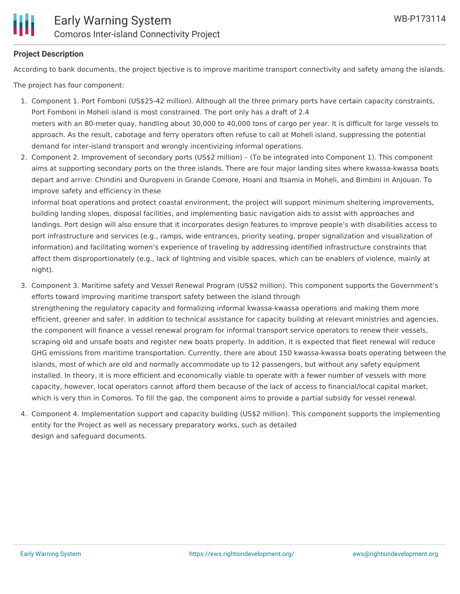

### **Project Description**

According to bank documents, the project bjective is to improve maritime transport connectivity and safety among the islands.

The project has four component:

- 1. Component 1. Port Fomboni (US\$25-42 million). Although all the three primary ports have certain capacity constraints, Port Fomboni in Moheli island is most constrained. The port only has a draft of 2.4 meters with an 80-meter quay, handling about 30,000 to 40,000 tons of cargo per year. It is difficult for large vessels to approach. As the result, cabotage and ferry operators often refuse to call at Moheli island, suppressing the potential demand for inter-island transport and wrongly incentivizing informal operations.
- 2. Component 2. Improvement of secondary ports (US\$2 million) (To be integrated into Component 1). This component aims at supporting secondary ports on the three islands. There are four major landing sites where kwassa-kwassa boats depart and arrive: Chindini and Ouropveni in Grande Comore, Hoani and Itsamia in Moheli, and Bimbini in Anjouan. To improve safety and efficiency in these

informal boat operations and protect coastal environment, the project will support minimum sheltering improvements, building landing slopes, disposal facilities, and implementing basic navigation aids to assist with approaches and landings. Port design will also ensure that it incorporates design features to improve people's with disabilities access to port infrastructure and services (e.g., ramps, wide entrances, priority seating, proper signalization and visualization of information) and facilitating women's experience of traveling by addressing identified infrastructure constraints that affect them disproportionately (e.g., lack of lightning and visible spaces, which can be enablers of violence, mainly at night).

- 3. Component 3. Maritime safety and Vessel Renewal Program (US\$2 million). This component supports the Government's efforts toward improving maritime transport safety between the island through strengthening the regulatory capacity and formalizing informal kwassa-kwassa operations and making them more efficient, greener and safer. In addition to technical assistance for capacity building at relevant ministries and agencies, the component will finance a vessel renewal program for informal transport service operators to renew their vessels, scraping old and unsafe boats and register new boats properly. In addition, it is expected that fleet renewal will reduce GHG emissions from maritime transportation. Currently, there are about 150 kwassa-kwassa boats operating between the islands, most of which are old and normally accommodate up to 12 passengers, but without any safety equipment installed. In theory, it is more efficient and economically viable to operate with a fewer number of vessels with more capacity, however, local operators cannot afford them because of the lack of access to financial/local capital market, which is very thin in Comoros. To fill the gap, the component aims to provide a partial subsidy for vessel renewal.
- 4. Component 4. Implementation support and capacity building (US\$2 million). This component supports the implementing entity for the Project as well as necessary preparatory works, such as detailed design and safeguard documents.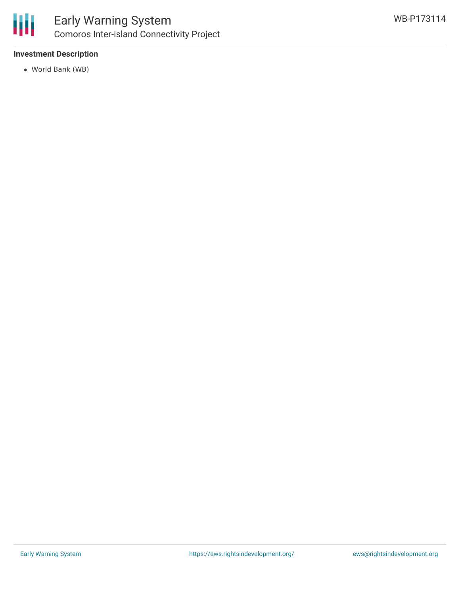

## **Investment Description**

World Bank (WB)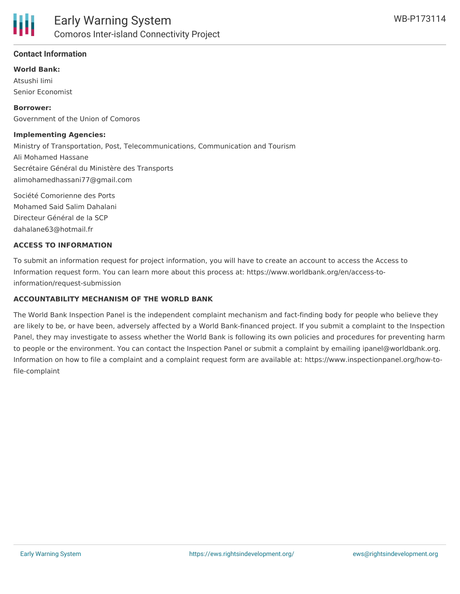

### **Contact Information**

#### **World Bank:**

Atsushi Iimi Senior Economist

**Borrower:** Government of the Union of Comoros

#### **Implementing Agencies:**

Ministry of Transportation, Post, Telecommunications, Communication and Tourism Ali Mohamed Hassane Secrétaire Général du Ministère des Transports alimohamedhassani77@gmail.com

Société Comorienne des Ports Mohamed Said Salim Dahalani Directeur Général de la SCP dahalane63@hotmail.fr

#### **ACCESS TO INFORMATION**

To submit an information request for project information, you will have to create an account to access the Access to Information request form. You can learn more about this process at: https://www.worldbank.org/en/access-toinformation/request-submission

#### **ACCOUNTABILITY MECHANISM OF THE WORLD BANK**

The World Bank Inspection Panel is the independent complaint mechanism and fact-finding body for people who believe they are likely to be, or have been, adversely affected by a World Bank-financed project. If you submit a complaint to the Inspection Panel, they may investigate to assess whether the World Bank is following its own policies and procedures for preventing harm to people or the environment. You can contact the Inspection Panel or submit a complaint by emailing ipanel@worldbank.org. Information on how to file a complaint and a complaint request form are available at: https://www.inspectionpanel.org/how-tofile-complaint